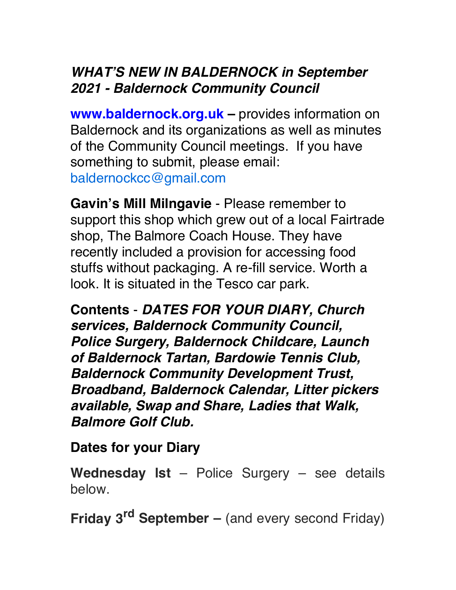## *WHAT'S NEW IN BALDERNOCK in September 2021 - Baldernock Community Council*

**www.baldernock.org.uk** – provides information on Baldernock and its organizations as well as minutes of the Community Council meetings. If you have something to submit, please email: [baldernockcc@gmail.com](mailto:baldernockcc@gmail.com)

**Gavin's Mill Milngavie** - Please remember to support this shop which grew out of a local Fairtrade shop, The Balmore Coach House. They have recently included a provision for accessing food stuffs without packaging. A re-fill service. Worth a look. It is situated in the Tesco car park.

**Contents** - *DATES FOR YOUR DIARY, Church services, Baldernock Community Council, Police Surgery, Baldernock Childcare, Launch of Baldernock Tartan, Bardowie Tennis Club, Baldernock Community Development Trust, Broadband, Baldernock Calendar, Litter pickers available, Swap and Share, Ladies that Walk, Balmore Golf Club.*

**Dates for your Diary**

**Wednesday lst** – Police Surgery – see details below.

**Friday 3rd September –** (and every second Friday)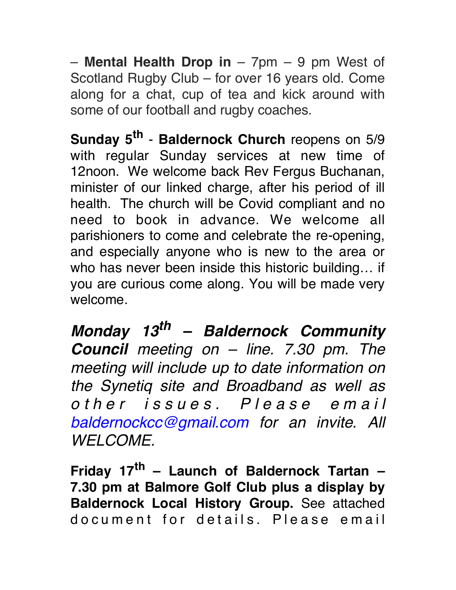– **Mental Health Drop in** – 7pm – 9 pm West of Scotland Rugby Club – for over 16 years old. Come along for a chat, cup of tea and kick around with some of our football and rugby coaches.

**Sunday 5<sup>th</sup> - Baldernock Church** reopens on 5/9 with regular Sunday services at new time of 12noon. We welcome back Rev Fergus Buchanan, minister of our linked charge, after his period of ill health. The church will be Covid compliant and no need to book in advance. We welcome all parishioners to come and celebrate the re-opening, and especially anyone who is new to the area or who has never been inside this historic building… if you are curious come along. You will be made very welcome.

*Monday 13th – Baldernock Community Council meeting on – line. 7.30 pm. The meeting will include up to date information on the Synetiq site and Broadband as well as o t h e r i s s u e s . P l e a s e e m a i l [baldernockcc@gmail.com](mailto:baldernockcc@gmail.com) for an invite. All WELCOME.*

**Friday 17th – Launch of Baldernock Tartan – 7.30 pm at Balmore Golf Club plus a display by Baldernock Local History Group.** See attached do cument for details. Please email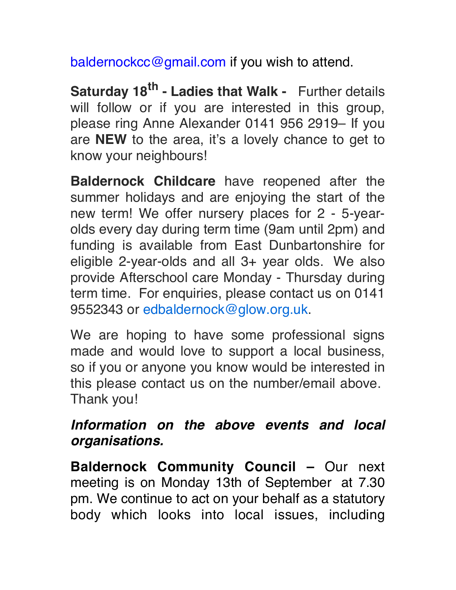[baldernockcc@gmail.com](mailto:baldernockcc@gmail.com) if you wish to attend.

**Saturday 18<sup>th</sup> - Ladies that Walk -** Further details will follow or if you are interested in this group, please ring Anne Alexander 0141 956 2919– If you are **NEW** to the area, it's a lovely chance to get to know your neighbours!

**Baldernock Childcare** have reopened after the summer holidays and are enjoying the start of the new term! We offer nursery places for 2 - 5-yearolds every day during term time (9am until 2pm) and funding is available from East Dunbartonshire for eligible 2-year-olds and all 3+ year olds. We also provide Afterschool care Monday - Thursday during term time. For enquiries, please contact us on 0141 9552343 or [edbaldernock@glow.org.uk.](mailto:edbaldernock@glow.org.uk)

We are hoping to have some professional signs made and would love to support a local business, so if you or anyone you know would be interested in this please contact us on the number/email above. Thank you!

## *Information on the above events and local organisations.*

**Baldernock Community Council –** Our next meeting is on Monday 13th of September at 7.30 pm. We continue to act on your behalf as a statutory body which looks into local issues, including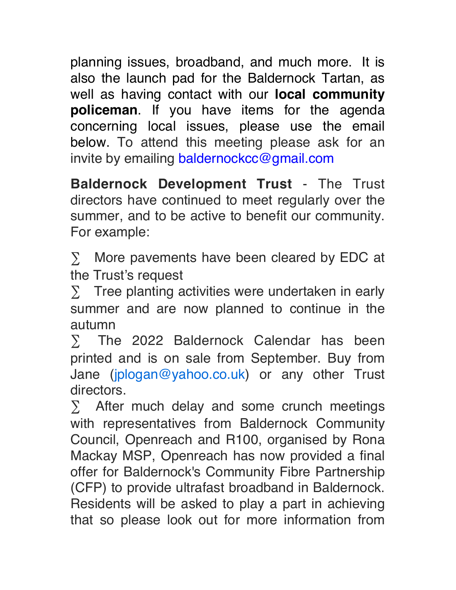planning issues, broadband, and much more. It is also the launch pad for the Baldernock Tartan, as well as having contact with our **local community policeman**. If you have items for the agenda concerning local issues, please use the email below. To attend this meeting please ask for an invite by emailing [baldernockcc@gmail.com](mailto:baldernockcc@gmail.com)

**Baldernock Development Trust** - The Trust directors have continued to meet regularly over the summer, and to be active to benefit our community. For example:

∑ More pavements have been cleared by EDC at the Trust's request

∑ Tree planting activities were undertaken in early summer and are now planned to continue in the autumn

∑ The 2022 Baldernock Calendar has been printed and is on sale from September. Buy from Jane ([jplogan@yahoo.co.uk](mailto:jplogan@yahoo.co.uk)) or any other Trust directors.

∑ After much delay and some crunch meetings with representatives from Baldernock Community Council, Openreach and R100, organised by Rona Mackay MSP, Openreach has now provided a final offer for Baldernock's Community Fibre Partnership (CFP) to provide ultrafast broadband in Baldernock. Residents will be asked to play a part in achieving that so please look out for more information from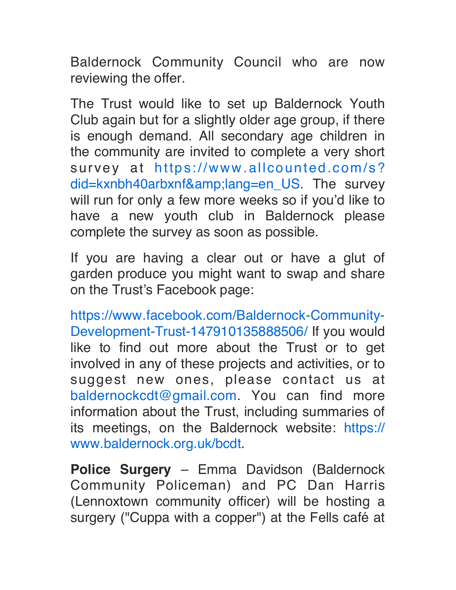Baldernock Community Council who are now reviewing the offer.

The Trust would like to set up Baldernock Youth Club again but for a slightly older age group, if there is enough demand. All secondary age children in the community are invited to complete a very short survey at [https://www.allcounted.com/s?](https://www.allcounted.com/s?did=kxnbh40arbxnf&lang=en_US) [did=kxnbh40arbxnf&lang=en\\_US](https://www.allcounted.com/s?did=kxnbh40arbxnf&lang=en_US). The survey will run for only a few more weeks so if you'd like to have a new youth club in Baldernock please complete the survey as soon as possible.

If you are having a clear out or have a glut of garden produce you might want to swap and share on the Trust's Facebook page:

[https://www.facebook.com/Baldernock-Community-](https://www.facebook.com/Baldernock-Community-Development-Trust-147910135888506/)[Development-Trust-147910135888506/](https://www.facebook.com/Baldernock-Community-Development-Trust-147910135888506/) If you would like to find out more about the Trust or to get involved in any of these projects and activities, or to suggest new ones, please contact us at [baldernockcdt@gmail.com](mailto:baldernockcdt@gmail.com). You can find more information about the Trust, including summaries of its meetings, on the Baldernock website: [https://](https://www.baldernock.org.uk/bcdt) [www.baldernock.org.uk/bcdt](https://www.baldernock.org.uk/bcdt).

**Police Surgery** – Emma Davidson (Baldernock Community Policeman) and PC Dan Harris (Lennoxtown community officer) will be hosting a surgery ("Cuppa with a copper") at the Fells café at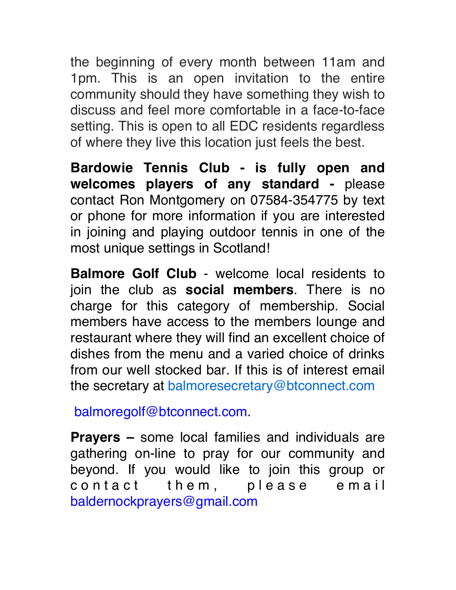the beginning of every month between 11am and 1pm. This is an open invitation to the entire community should they have something they wish to discuss and feel more comfortable in a face-to-face setting. This is open to all EDC residents regardless of where they live this location just feels the best.

**Bardowie Tennis Club - is fully open and welcomes players of any standard -** please contact Ron Montgomery on 07584-354775 by text or phone for more information if you are interested in joining and playing outdoor tennis in one of the most unique settings in Scotland!

**Balmore Golf Club** - welcome local residents to join the club as **social members**. There is no charge for this category of membership. Social members have access to the members lounge and restaurant where they will find an excellent choice of dishes from the menu and a varied choice of drinks from our well stocked bar. If this is of interest email the secretary at [balmoresecretary@btconnect.com](mailto:balmoresecretary@btconnect.com)

[balmoregolf@btconnect.com](mailto:balmoregolf@btconnect.com).

**Prayers –** some local families and individuals are gathering on-line to pray for our community and beyond. If you would like to join this group or contact them, please email [baldernockprayers@gmail.com](mailto:baldernockprayers@gmail.com)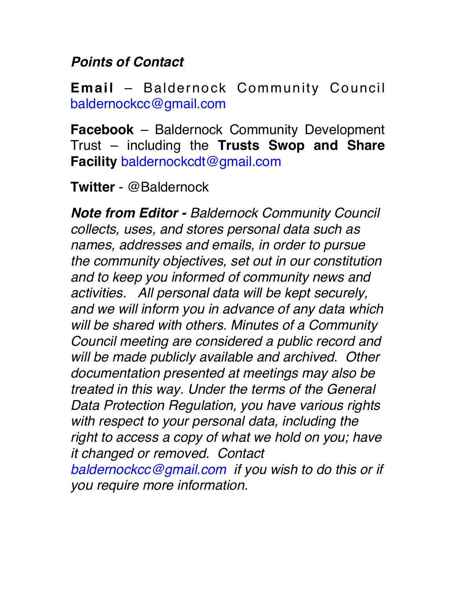## *Points of Contact*

**Email** – Baldernock Community Council [baldernockcc@gmail.com](mailto:baldernockcc@gmail.com)

**Facebook** – Baldernock Community Development Trust – including the **Trusts Swop and Share Facility** [baldernockcdt@gmail.com](mailto:baldernockcdt@gmail.com)

**Twitter** - @Baldernock

*Note from Editor - Baldernock Community Council collects, uses, and stores personal data such as names, addresses and emails, in order to pursue the community objectives, set out in our constitution and to keep you informed of community news and activities. All personal data will be kept securely, and we will inform you in advance of any data which will be shared with others. Minutes of a Community Council meeting are considered a public record and will be made publicly available and archived. Other documentation presented at meetings may also be treated in this way. Under the terms of the General Data Protection Regulation, you have various rights with respect to your personal data, including the right to access a copy of what we hold on you; have it changed or removed. Contact [baldernockcc@gmail.com](mailto:baldernockcc@gmail.com) if you wish to do this or if you require more information.*